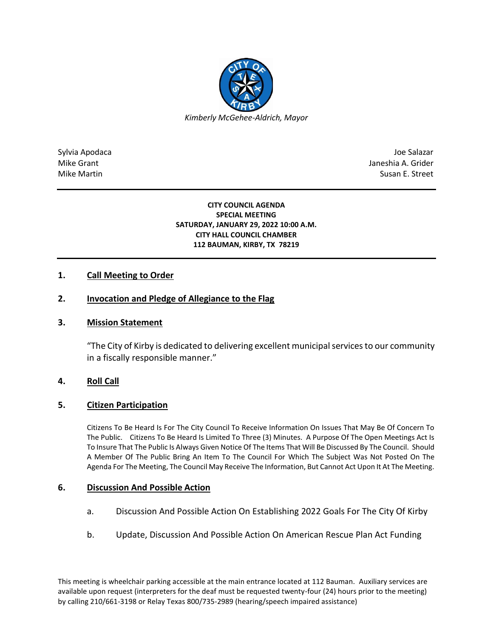

Sylvia Apodaca Joe Salazar Joe Salazar Joe Salazar Joe Salazar Joe Salazar Joe Salazar Joe Salazar Joe Salazar Mike Grant **Janeshia A. Grider** Janeshia A. Grider Mike Martin Susan E. Street

#### **CITY COUNCIL AGENDA SPECIAL MEETING SATURDAY, JANUARY 29, 2022 10:00 A.M. CITY HALL COUNCIL CHAMBER 112 BAUMAN, KIRBY, TX 78219**

## **1. Call Meeting to Order**

# **2. Invocation and Pledge of Allegiance to the Flag**

#### **3. Mission Statement**

"The City of Kirby is dedicated to delivering excellent municipal services to our community in a fiscally responsible manner."

#### **4. Roll Call**

#### **5. Citizen Participation**

Citizens To Be Heard Is For The City Council To Receive Information On Issues That May Be Of Concern To The Public. Citizens To Be Heard Is Limited To Three (3) Minutes. A Purpose Of The Open Meetings Act Is To Insure That The Public Is Always Given Notice Of The Items That Will Be Discussed By The Council. Should A Member Of The Public Bring An Item To The Council For Which The Subject Was Not Posted On The Agenda For The Meeting, The Council May Receive The Information, But Cannot Act Upon It At The Meeting.

#### **6. Discussion And Possible Action**

- a. Discussion And Possible Action On Establishing 2022 Goals For The City Of Kirby
- b. Update, Discussion And Possible Action On American Rescue Plan Act Funding

This meeting is wheelchair parking accessible at the main entrance located at 112 Bauman. Auxiliary services are available upon request (interpreters for the deaf must be requested twenty-four (24) hours prior to the meeting) by calling 210/661-3198 or Relay Texas 800/735-2989 (hearing/speech impaired assistance)